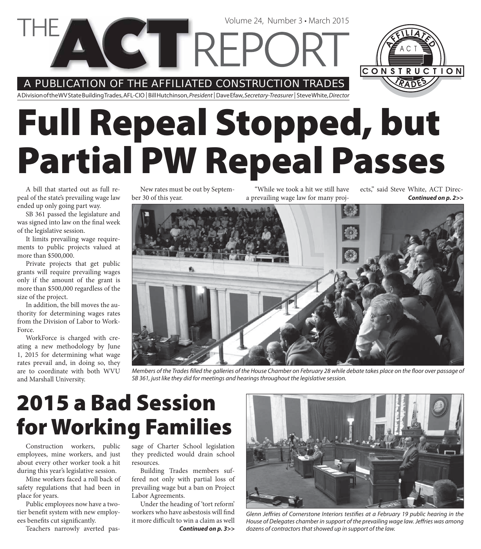A PUBLICATION OF THE AFFILIATED CONSTRUCTION TRADES

**VGTREPC** 

A Division of the WV State Building Trades, AFL-CIO | Bill Hutchinson, President | Dave Efaw, Secretary-Treasurer | Steve White, Director

# **Full Repeal Stopped, but Partial PW Repeal Passes**

A bill that started out as full repeal of the state's prevailing wage law ended up only going part way.

SB 361 passed the legislature and was signed into law on the final week of the legislative session.

It limits prevailing wage requirements to public projects valued at more than \$500,000.

Private projects that get public grants will require prevailing wages only if the amount of the grant is more than \$500,000 regardless of the size of the project.

In addition, the bill moves the authority for determining wages rates from the Division of Labor to Work-Force.

WorkForce is charged with creating a new methodology by June 1, 2015 for determining what wage rates prevail and, in doing so, they are to coordinate with both WVU and Marshall University.

New rates must be out by September 30 of this year.

"While we took a hit we still have a prevailing wage law for many projects," said Steve White, ACT Direc-

Volume 24, Number 3 • March 2015

Members of the Trades filled the galleries of the House Chamber on February 28 while debate takes place on the floor over passage of SB 361, just like they did for meetings and hearings throughout the legislative session.

## **2015 a Bad Session for Working Families**

Construction workers, public employees, mine workers, and just about every other worker took a hit during this year's legislative session.

Mine workers faced a roll back of safety regulations that had been in place for years.

Public employees now have a twotier benefit system with new employees benefits cut significantly.

Teachers narrowly averted pas-

sage of Charter School legislation they predicted would drain school resources.

Building Trades members suffered not only with partial loss of prevailing wage but a ban on Project Labor Agreements.

*Continued on p. 3>>* Under the heading of 'tort reform' workers who have asbestosis will find it more difficult to win a claim as well



Glenn Jeffries of Cornerstone Interiors testifies at a February 19 public hearing in the House of Delegates chamber in support of the prevailing wage law. Jeffries was among dozens of contractors that showed up in support of the law.



*Continued on p. 2>>*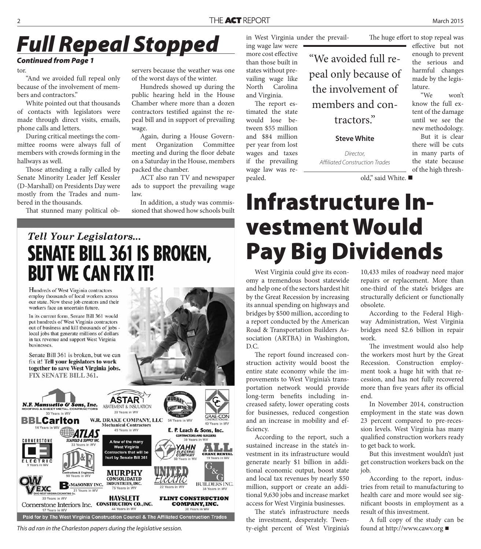### *Full Repeal Stopped*

tor.

"And we avoided full repeal only because of the involvement of members and contractors."

White pointed out that thousands of contacts with legislators were made through direct visits, emails, phone calls and letters.

During critical meetings the committee rooms were always full of members with crowds forming in the hallways as well.

Those attending a rally called by Senate Minority Leader Jeff Kessler (D-Marshall) on Presidents Day were mostly from the Trades and numbered in the thousands.

That stunned many political ob-

servers because the weather was one of the worst days of the winter.

Hundreds showed up during the public hearing held in the House Chamber where more than a dozen contractors testified against the repeal bill and in support of prevailing wage.

Again, during a House Government Organization Committee meeting and during the floor debate on a Saturday in the House, members packed the chamber.

ACT also ran TV and newspaper ads to support the prevailing wage law.

In addition, a study was commissioned that showed how schools built

#### in West Virginia under the prevail-

ing wage law were more cost effective than those built in states without prevailing wage like North Carolina and Virginia.

The report estimated the state would lose between \$55 million and \$84 million per year from lost wages and taxes if the prevailing wage law was repealed.

The huge effort to stop repeal was

**Continued from Page 1 Continued from Page 1** peal only because of the involvement of members and contractors."

**Steve White**

Director, Affiliated Construction Trades effective but not enough to prevent the serious and harmful changes made by the legislature.

"We won't know the full extent of the damage until we see the new methodology. But it is clear there will be cuts in many parts of the state because of the high thresh-

old," said White. ■

### **Infrastructure Investment Would Pay Big Dividends**

West Virginia could give its economy a tremendous boost statewide and help one of the sectors hardest hit by the Great Recession by increasing its annual spending on highways and bridges by \$500 million, according to a report conducted by the American Road & Transportation Builders Association (ARTBA) in Washington, D.C.

The report found increased construction activity would boost the entire state economy while the improvements to West Virginia's transportation network would provide long-term benefits including increased safety, lower operating costs for businesses, reduced congestion and an increase in mobility and efficiency.

According to the report, such a sustained increase in the state's investment in its infrastructure would generate nearly \$1 billion in additional economic output, boost state and local tax revenues by nearly \$50 million, support or create an additional 9,630 jobs and increase market access for West Virginia businesses.

The state's infrastructure needs the investment, desperately. Twenty-eight percent of West Virginia's 10,433 miles of roadway need major repairs or replacement. More than one-third of the state's bridges are structurally deficient or functionally obsolete.

According to the Federal Highway Administration, West Virginia bridges need \$2.6 billion in repair work.

The investment would also help the workers most hurt by the Great Recession. Construction employment took a huge hit with that recession, and has not fully recovered more than five years after its official end.

In November 2014, construction employment in the state was down 23 percent compared to pre-recession levels. West Virginia has many qualified construction workers ready to get back to work.

But this investment wouldn't just get construction workers back on the job.

According to the report, industries from retail to manufacturing to health care and more would see significant boosts in employment as a result of this investment.

A full copy of the study can be found at http://www.cawv.org

#### Tell Your Legislators... **SENATE BILL 361 IS BROKEN, BUT WE CAN FIX IT!**

Hundreds of West Virginia contractors employ thousands of local workers across our state. Now these job creators and their workers face an uncertain future.

In its current form, Senate Bill 361 would put hundreds of West Virginia contractors out of business and kill thousands of jobs local jobs that generate millions of dollars in tax revenue and support West Virginia **businesses** 

Senate Bill 361 is broken, but we can fix it! Tell your legislators to work together to save West Virginia jobs. FIX SENATE BILL 361.



This ad ran in the Charleston papers during the legislative session.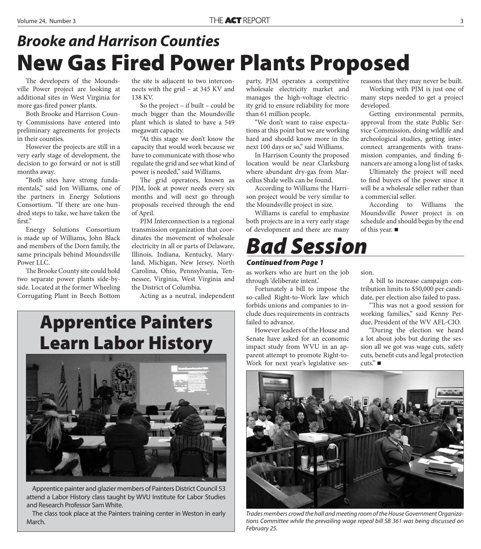#### **New Gas Fired Power Plants Proposed** *Brooke and Harrison Counties*

The developers of the Moundsville Power project are looking at additional sites in West Virginia for more gas-fired power plants.

Both Brooke and Harrison County Commissions have entered into preliminary agreements for projects in their counties.

However the projects are still in a very early stage of development, the decision to go forward or not is still months away.

"Both sites have strong fundamentals," said Jon Williams, one of the partners in Energy Solutions Consortium. "If there are one hundred steps to take, we have taken the first."

Energy Solutions Consortium is made up of Williams, John Black and members of the Dorn family, the same principals behind Moundsville Power LLC.

The Brooke County site could hold two separate power plants side-byside. Located at the former Wheeling Corrugating Plant in Beech Bottom

the site is adjacent to two interconnects with the grid – at 345 KV and 138 KV.

So the project – if built – could be much bigger than the Moundsville plant which is slated to have a 549 megawatt capacity.

"At this stage we don't know the capacity that would work because we have to communicate with those who regulate the grid and see what kind of power is needed," said Williams.

The grid operators, known as PJM, look at power needs every six months and will next go through proposals received through the end of April.

PJM Interconnection is a regional transmission organization that coordinates the movement of wholesale electricity in all or parts of Delaware, Illinois, Indiana, Kentucky, Maryland, Michigan, New Jersey, North Carolina, Ohio, Pennsylvania, Tennessee, Virginia, West Virginia and the District of Columbia.

Acting as a neutral, independent

#### **Apprentice Painters Learn Labor History**



Apprentice painter and glazier members of Painters District Council 53 attend a Labor History class taught by WVU Institute for Labor Studies and Research Professor Sam White.

The class took place at the Painters training center in Weston in early March.

party, PJM operates a competitive wholesale electricity market and manages the high-voltage electricity grid to ensure reliability for more than 61 million people.

"We don't want to raise expectations at this point but we are working hard and should know more in the next 100 days or so," said Williams.

In Harrison County the proposed location would be near Clarksburg where abundant dry-gas from Marcellus Shale wells can be found.

According to Williams the Harrison project would be very similar to the Moundsville project in size.

Williams is careful to emphasize both projects are in a very early stage of development and there are many

#### *Bad Session*

#### *Continued from Page 1*

as workers who are hurt on the job through 'deliberate intent.'

Fortunately a bill to impose the so-called Right-to-Work law which forbids unions and companies to include dues requirements in contracts failed to advance.

However leaders of the House and Senate have asked for an economic impact study from WVU in an apparent attempt to promote Right-to-Work for next year's legislative sesreasons that they may never be built. Working with PJM is just one of many steps needed to get a project developed.

Getting environmental permits, approval from the state Public Service Commission, doing wildlife and archeological studies, getting interconnect arrangements with transmission companies, and finding financers are among a long list of tasks.

Ultimately the project will need to find buyers of the power since it will be a wholesale seller rather than a commercial seller.

According to Williams the Moundsville Power project is on schedule and should begin by the end of this year.

sion.

A bill to increase campaign contribution limits to \$50,000 per candidate, per election also failed to pass.

"This was not a good session for working families," said Kenny Perdue, President of the WV AFL-CIO.

"During the election we heard a lot about jobs but during the session all we got was wage cuts, safety cuts, benefit cuts and legal protection  $cuts.$ "



Trades members crowd the hall and meeting room of the House Government Organizations Committee while the prevailing wage repeal bill SB 361 was being discussed on February 25.